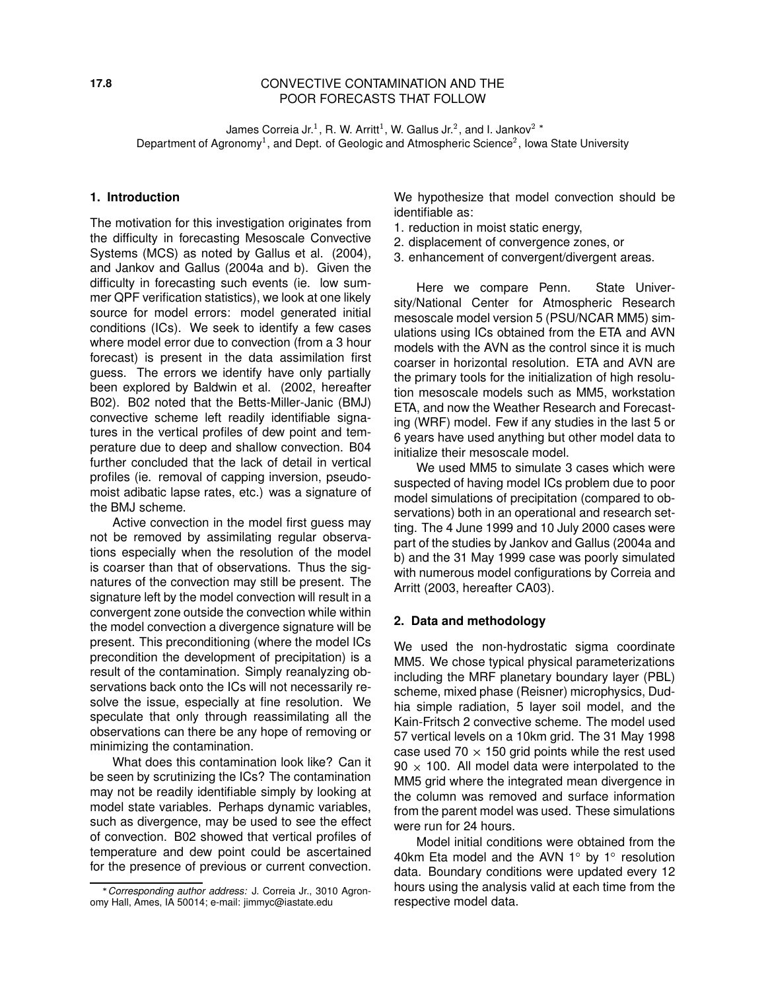## **17.8** CONVECTIVE CONTAMINATION AND THE POOR FORECASTS THAT FOLLOW

James Correia Jr.<sup>1</sup>, R. W. Arritt<sup>1</sup>, W. Gallus Jr.<sup>2</sup>, and I. Jankov<sup>2</sup> Department of Agronomy<sup>1</sup>, and Dept. of Geologic and Atmospheric Science<sup>2</sup>, lowa State University

#### **1. Introduction**

The motivation for this investigation originates from the difficulty in forecasting Mesoscale Convective Systems (MCS) as noted by Gallus et al. (2004), and Jankov and Gallus (2004a and b). Given the difficulty in forecasting such events (ie. low summer QPF verification statistics), we look at one likely source for model errors: model generated initial conditions (ICs). We seek to identify a few cases where model error due to convection (from a 3 hour forecast) is present in the data assimilation first guess. The errors we identify have only partially been explored by Baldwin et al. (2002, hereafter B02). B02 noted that the Betts-Miller-Janic (BMJ) convective scheme left readily identifiable signatures in the vertical profiles of dew point and temperature due to deep and shallow convection. B04 further concluded that the lack of detail in vertical profiles (ie. removal of capping inversion, pseudomoist adibatic lapse rates, etc.) was a signature of the BMJ scheme.

Active convection in the model first guess may not be removed by assimilating regular observations especially when the resolution of the model is coarser than that of observations. Thus the signatures of the convection may still be present. The signature left by the model convection will result in a convergent zone outside the convection while within the model convection a divergence signature will be present. This preconditioning (where the model ICs precondition the development of precipitation) is a result of the contamination. Simply reanalyzing observations back onto the ICs will not necessarily resolve the issue, especially at fine resolution. We speculate that only through reassimilating all the observations can there be any hope of removing or minimizing the contamination.

What does this contamination look like? Can it be seen by scrutinizing the ICs? The contamination may not be readily identifiable simply by looking at model state variables. Perhaps dynamic variables, such as divergence, may be used to see the effect of convection. B02 showed that vertical profiles of temperature and dew point could be ascertained for the presence of previous or current convection.

We hypothesize that model convection should be identifiable as:

- 1. reduction in moist static energy,
- 2. displacement of convergence zones, or
- 3. enhancement of convergent/divergent areas.

Here we compare Penn. State University/National Center for Atmospheric Research mesoscale model version 5 (PSU/NCAR MM5) simulations using ICs obtained from the ETA and AVN models with the AVN as the control since it is much coarser in horizontal resolution. ETA and AVN are the primary tools for the initialization of high resolution mesoscale models such as MM5, workstation ETA, and now the Weather Research and Forecasting (WRF) model. Few if any studies in the last 5 or 6 years have used anything but other model data to initialize their mesoscale model.

We used MM5 to simulate 3 cases which were suspected of having model ICs problem due to poor model simulations of precipitation (compared to observations) both in an operational and research setting. The 4 June 1999 and 10 July 2000 cases were part of the studies by Jankov and Gallus (2004a and b) and the 31 May 1999 case was poorly simulated with numerous model configurations by Correia and Arritt (2003, hereafter CA03).

#### **2. Data and methodology**

We used the non-hydrostatic sigma coordinate MM5. We chose typical physical parameterizations including the MRF planetary boundary layer (PBL) scheme, mixed phase (Reisner) microphysics, Dudhia simple radiation, 5 layer soil model, and the Kain-Fritsch 2 convective scheme. The model used 57 vertical levels on a 10km grid. The 31 May 1998 case used 70  $\times$  150 grid points while the rest used  $90 \times 100$ . All model data were interpolated to the MM5 grid where the integrated mean divergence in the column was removed and surface information from the parent model was used. These simulations were run for 24 hours.

Model initial conditions were obtained from the 40km Eta model and the AVN 1 $^{\circ}$  by 1 $^{\circ}$  resolution data. Boundary conditions were updated every 12 hours using the analysis valid at each time from the respective model data.

Corresponding author address: J. Correia Jr., 3010 Agronomy Hall, Ames, IA 50014; e-mail: jimmyc@iastate.edu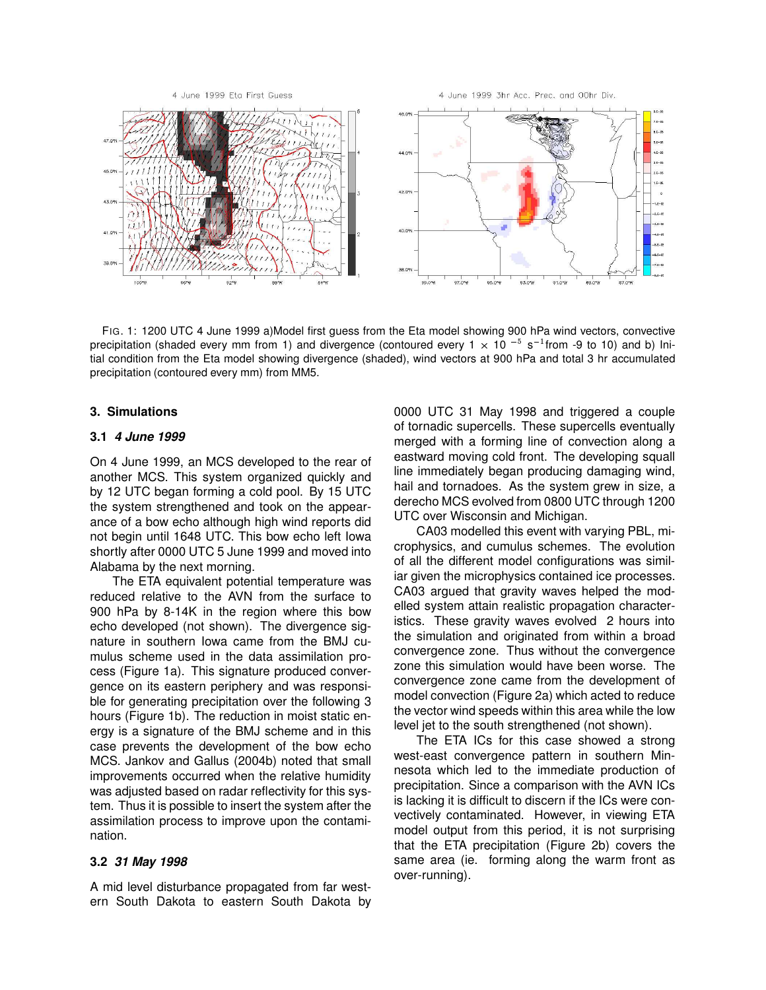

FIG. 1: 1200 UTC 4 June 1999 a)Model first guess from the Eta model showing 900 hPa wind vectors, convective precipitation (shaded every mm from 1) and divergence (contoured every 1  $\times$  10  $^{-5}$  s<sup>-1</sup>from -9 to 10) and b) Initial condition from the Eta model showing divergence (shaded), wind vectors at 900 hPa and total 3 hr accumulated precipitation (contoured every mm) from MM5.

### **3. Simulations**

#### **3.1 4 June 1999**

On 4 June 1999, an MCS developed to the rear of another MCS. This system organized quickly and by 12 UTC began forming a cold pool. By 15 UTC the system strengthened and took on the appearance of a bow echo although high wind reports did not begin until 1648 UTC. This bow echo left Iowa shortly after 0000 UTC 5 June 1999 and moved into Alabama by the next morning.

The ETA equivalent potential temperature was reduced relative to the AVN from the surface to 900 hPa by 8-14K in the region where this bow echo developed (not shown). The divergence signature in southern Iowa came from the BMJ cumulus scheme used in the data assimilation process (Figure 1a). This signature produced convergence on its eastern periphery and was responsible for generating precipitation over the following 3 hours (Figure 1b). The reduction in moist static energy is a signature of the BMJ scheme and in this case prevents the development of the bow echo MCS. Jankov and Gallus (2004b) noted that small improvements occurred when the relative humidity was adjusted based on radar reflectivity for this system. Thus it is possible to insert the system after the assimilation process to improve upon the contamination.

### **3.2 31 May 1998**

A mid level disturbance propagated from far western South Dakota to eastern South Dakota by 0000 UTC 31 May 1998 and triggered a couple of tornadic supercells. These supercells eventually merged with a forming line of convection along a eastward moving cold front. The developing squall line immediately began producing damaging wind, hail and tornadoes. As the system grew in size, a derecho MCS evolved from 0800 UTC through 1200 UTC over Wisconsin and Michigan.

CA03 modelled this event with varying PBL, microphysics, and cumulus schemes. The evolution of all the different model configurations was similiar given the microphysics contained ice processes. CA03 argued that gravity waves helped the modelled system attain realistic propagation characteristics. These gravity waves evolved 2 hours into the simulation and originated from within a broad convergence zone. Thus without the convergence zone this simulation would have been worse. The convergence zone came from the development of model convection (Figure 2a) which acted to reduce the vector wind speeds within this area while the low level jet to the south strengthened (not shown).

The ETA ICs for this case showed a strong west-east convergence pattern in southern Minnesota which led to the immediate production of precipitation. Since a comparison with the AVN ICs is lacking it is difficult to discern if the ICs were convectively contaminated. However, in viewing ETA model output from this period, it is not surprising that the ETA precipitation (Figure 2b) covers the same area (ie. forming along the warm front as over-running).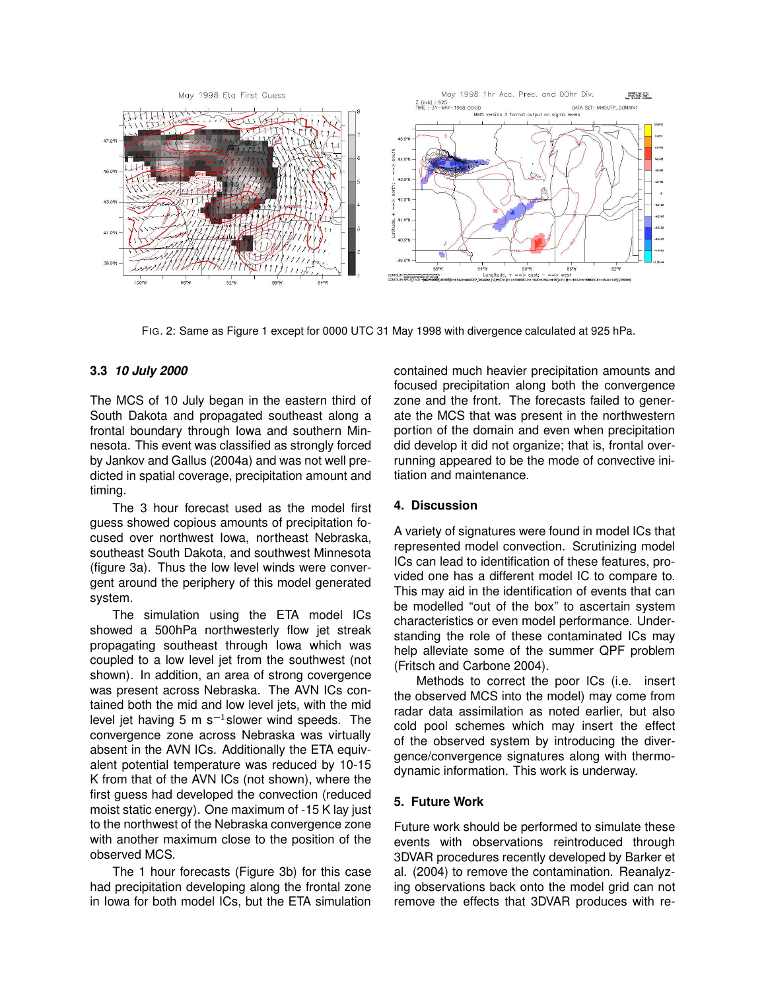

FIG. 2: Same as Figure 1 except for 0000 UTC 31 May 1998 with divergence calculated at 925 hPa.

## **3.3 10 July 2000**

The MCS of 10 July began in the eastern third of South Dakota and propagated southeast along a frontal boundary through Iowa and southern Minnesota. This event was classified as strongly forced by Jankov and Gallus (2004a) and was not well predicted in spatial coverage, precipitation amount and timing.

The 3 hour forecast used as the model first guess showed copious amounts of precipitation focused over northwest Iowa, northeast Nebraska, southeast South Dakota, and southwest Minnesota (figure 3a). Thus the low level winds were convergent around the periphery of this model generated system.

The simulation using the ETA model ICs showed a 500hPa northwesterly flow jet streak propagating southeast through Iowa which was coupled to a low level jet from the southwest (not shown). In addition, an area of strong covergence was present across Nebraska. The AVN ICs contained both the mid and low level jets, with the mid level jet having 5 m s $^{-1}$ slower wind speeds. The convergence zone across Nebraska was virtually absent in the AVN ICs. Additionally the ETA equivalent potential temperature was reduced by 10-15 K from that of the AVN ICs (not shown), where the first guess had developed the convection (reduced moist static energy). One maximum of -15 K lay just to the northwest of the Nebraska convergence zone with another maximum close to the position of the observed MCS.

The 1 hour forecasts (Figure 3b) for this case had precipitation developing along the frontal zone in Iowa for both model ICs, but the ETA simulation contained much heavier precipitation amounts and focused precipitation along both the convergence zone and the front. The forecasts failed to generate the MCS that was present in the northwestern portion of the domain and even when precipitation did develop it did not organize; that is, frontal overrunning appeared to be the mode of convective initiation and maintenance.

# **4. Discussion**

A variety of signatures were found in model ICs that represented model convection. Scrutinizing model ICs can lead to identification of these features, provided one has a different model IC to compare to. This may aid in the identification of events that can be modelled "out of the box" to ascertain system characteristics or even model performance. Understanding the role of these contaminated ICs may help alleviate some of the summer QPF problem (Fritsch and Carbone 2004).

Methods to correct the poor ICs (i.e. insert the observed MCS into the model) may come from radar data assimilation as noted earlier, but also cold pool schemes which may insert the effect of the observed system by introducing the divergence/convergence signatures along with thermodynamic information. This work is underway.

# **5. Future Work**

Future work should be performed to simulate these events with observations reintroduced through 3DVAR procedures recently developed by Barker et al. (2004) to remove the contamination. Reanalyzing observations back onto the model grid can not remove the effects that 3DVAR produces with re-